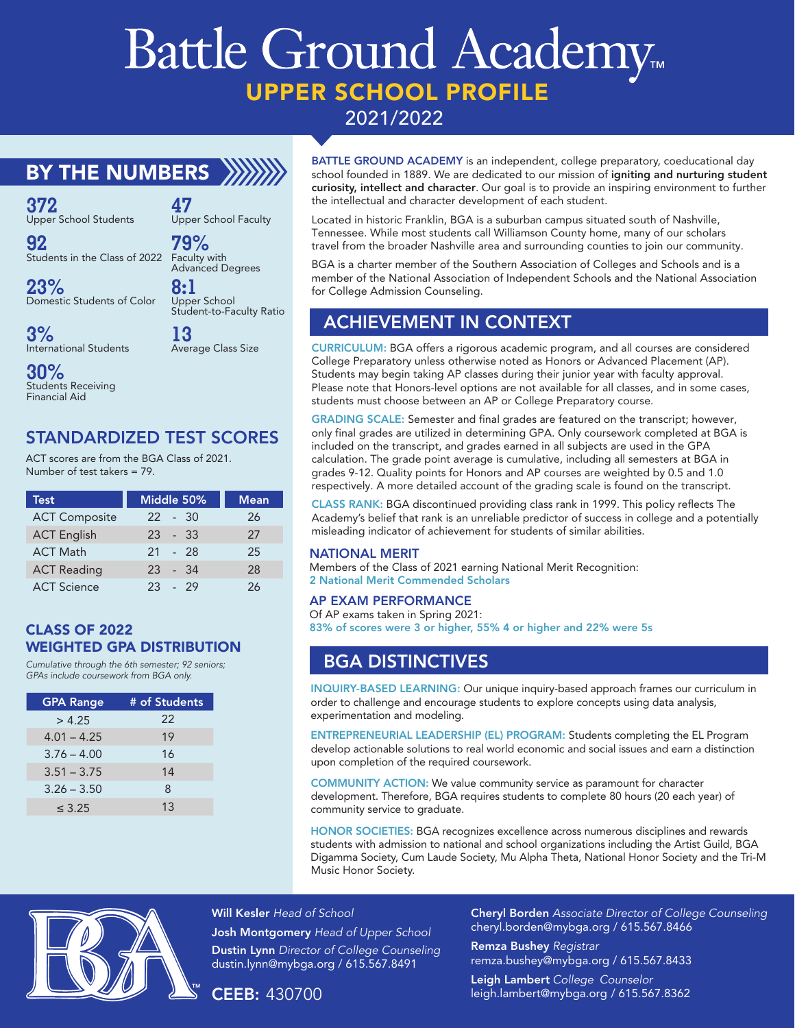# Battle Ground Academy. UPPER SCHOOL PROFILE 2021/2022

## BY THE NUMBERS XXXX

**47**

**79%**

**8:1**

**372** Upper School Students

**92** Students in the Class of 2022 Faculty with

**23%** Domestic Students of Color

Upper School Student-to-Faculty Ratio **13** Average Class Size

Upper School Faculty

Advanced Degrees

**3%** International Students

**30%** Students Receiving Financial Aid

### STANDARDIZED TEST SCORES

ACT scores are from the BGA Class of 2021. Number of test takers = 79.

| Test                 | Middle 50% | <b>Mean</b> |
|----------------------|------------|-------------|
| <b>ACT Composite</b> | $22 - 30$  | 26          |
| <b>ACT English</b>   | $23 - 33$  | 27          |
| <b>ACT Math</b>      | 21 - 28    | 25          |
| <b>ACT Reading</b>   | 23 - 34    | 28          |
| <b>ACT Science</b>   | $23 - 29$  | 26          |

#### CLASS OF 2022 WEIGHTED GPA DISTRIBUTION

*Cumulative through the 6th semester; 92 seniors; GPAs include coursework from BGA only.*

| <b>GPA Range</b> | # of Students |  |
|------------------|---------------|--|
| > 4.25           | 22            |  |
| $4.01 - 4.25$    | 19            |  |
| $3.76 - 4.00$    | 16            |  |
| $3.51 - 3.75$    | 14            |  |
| $3.26 - 3.50$    | 8             |  |
| $\leq 3.25$      | 1.3           |  |

BATTLE GROUND ACADEMY is an independent, college preparatory, coeducational day school founded in 1889. We are dedicated to our mission of igniting and nurturing student curiosity, intellect and character. Our goal is to provide an inspiring environment to further the intellectual and character development of each student.

Located in historic Franklin, BGA is a suburban campus situated south of Nashville, Tennessee. While most students call Williamson County home, many of our scholars travel from the broader Nashville area and surrounding counties to join our community.

BGA is a charter member of the Southern Association of Colleges and Schools and is a member of the National Association of Independent Schools and the National Association for College Admission Counseling.

## ACHIEVEMENT IN CONTEXT

CURRICULUM: BGA offers a rigorous academic program, and all courses are considered College Preparatory unless otherwise noted as Honors or Advanced Placement (AP). Students may begin taking AP classes during their junior year with faculty approval. Please note that Honors-level options are not available for all classes, and in some cases, students must choose between an AP or College Preparatory course.

GRADING SCALE: Semester and final grades are featured on the transcript; however, only final grades are utilized in determining GPA. Only coursework completed at BGA is included on the transcript, and grades earned in all subjects are used in the GPA calculation. The grade point average is cumulative, including all semesters at BGA in grades 9-12. Quality points for Honors and AP courses are weighted by 0.5 and 1.0 respectively. A more detailed account of the grading scale is found on the transcript.

CLASS RANK: BGA discontinued providing class rank in 1999. This policy reflects The Academy's belief that rank is an unreliable predictor of success in college and a potentially misleading indicator of achievement for students of similar abilities.

#### NATIONAL MERIT

Members of the Class of 2021 earning National Merit Recognition: 2 National Merit Commended Scholars

#### AP EXAM PERFORMANCE

Of AP exams taken in Spring 2021: 83% of scores were 3 or higher, 55% 4 or higher and 22% were 5s

## BGA DISTINCTIVES

INQUIRY-BASED LEARNING: Our unique inquiry-based approach frames our curriculum in order to challenge and encourage students to explore concepts using data analysis, experimentation and modeling.

ENTREPRENEURIAL LEADERSHIP (EL) PROGRAM: Students completing the EL Program develop actionable solutions to real world economic and social issues and earn a distinction upon completion of the required coursework.

COMMUNITY ACTION: We value community service as paramount for character development. Therefore, BGA requires students to complete 80 hours (20 each year) of community service to graduate.

HONOR SOCIETIES: BGA recognizes excellence across numerous disciplines and rewards students with admission to national and school organizations including the Artist Guild, BGA Digamma Society, Cum Laude Society, Mu Alpha Theta, National Honor Society and the Tri-M Music Honor Society.



Will Kesler *Head of School*

Josh Montgomery *Head of Upper School* Dustin Lynn *Director of College Counseling* dustin.lynn@mybga.org / 615.567.8491

CEEB: 430700

Cheryl Borden *Associate Director of College Counseling* cheryl.borden@mybga.org / 615.567.8466

Remza Bushey *Registrar* remza.bushey@mybga.org / 615.567.8433 Leigh Lambert *College Counselor* leigh.lambert@mybga.org / 615.567.8362